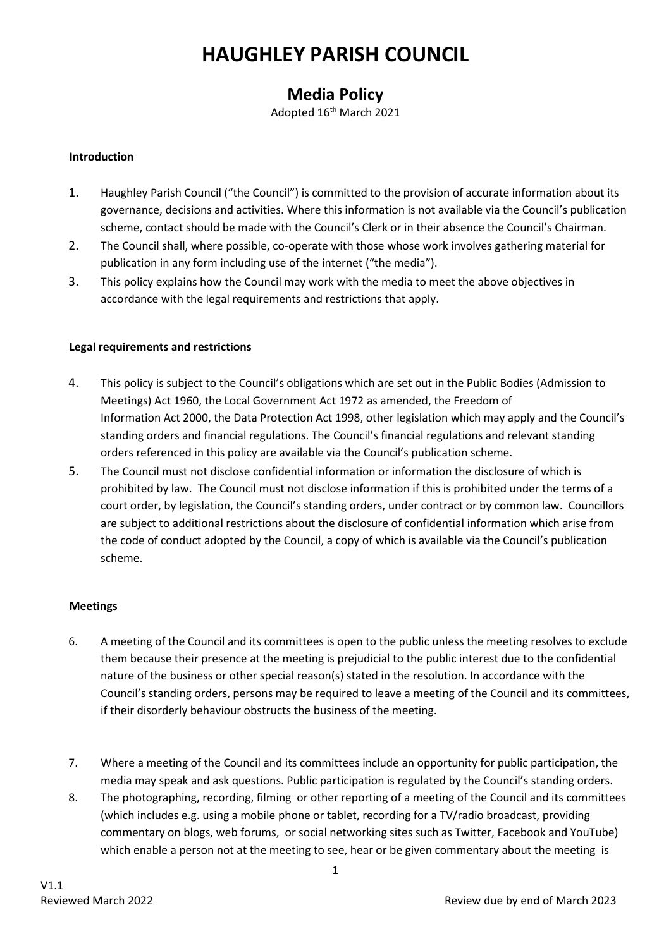# **HAUGHLEY PARISH COUNCIL**

# **Media Policy**

Adopted 16th March 2021

## **Introduction**

- 1. Haughley Parish Council ("the Council") is committed to the provision of accurate information about its governance, decisions and activities. Where this information is not available via the Council's publication scheme, contact should be made with the Council's Clerk or in their absence the Council's Chairman.
- 2. The Council shall, where possible, co-operate with those whose work involves gathering material for publication in any form including use of the internet ("the media").
- 3. This policy explains how the Council may work with the media to meet the above objectives in accordance with the legal requirements and restrictions that apply.

#### **Legal requirements and restrictions**

- 4. This policy is subject to the Council's obligations which are set out in the Public Bodies (Admission to Meetings) Act 1960, the Local Government Act 1972 as amended, the Freedom of Information Act 2000, the Data Protection Act 1998, other legislation which may apply and the Council's standing orders and financial regulations. The Council's financial regulations and relevant standing orders referenced in this policy are available via the Council's publication scheme.
- 5. The Council must not disclose confidential information or information the disclosure of which is prohibited by law. The Council must not disclose information if this is prohibited under the terms of a court order, by legislation, the Council's standing orders, under contract or by common law. Councillors are subject to additional restrictions about the disclosure of confidential information which arise from the code of conduct adopted by the Council, a copy of which is available via the Council's publication scheme.

# **Meetings**

- 6. A meeting of the Council and its committees is open to the public unless the meeting resolves to exclude them because their presence at the meeting is prejudicial to the public interest due to the confidential nature of the business or other special reason(s) stated in the resolution. In accordance with the Council's standing orders, persons may be required to leave a meeting of the Council and its committees, if their disorderly behaviour obstructs the business of the meeting.
- 7. Where a meeting of the Council and its committees include an opportunity for public participation, the media may speak and ask questions. Public participation is regulated by the Council's standing orders.
- 8. The photographing, recording, filming or other reporting of a meeting of the Council and its committees (which includes e.g. using a mobile phone or tablet, recording for a TV/radio broadcast, providing commentary on blogs, web forums, or social networking sites such as Twitter, Facebook and YouTube) which enable a person not at the meeting to see, hear or be given commentary about the meeting is